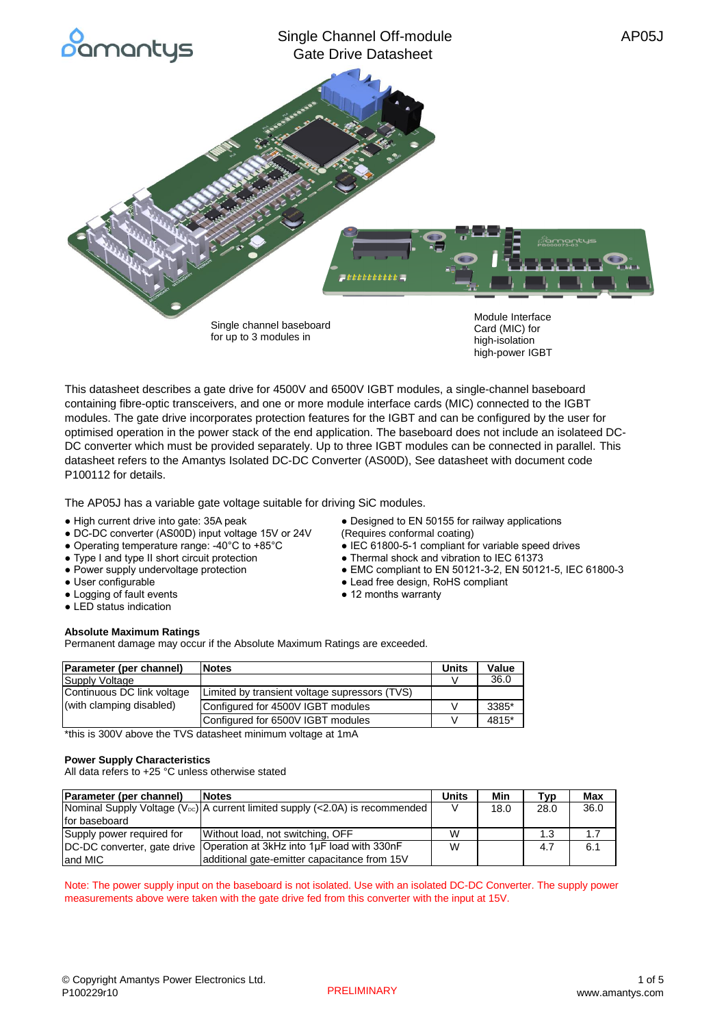

for up to 3 modules in

Card (MIC) for high-isolation high-power IGBT

• EMC compliant to EN 50121-3-2, EN 50121-5, IEC 61800-3

This datasheet describes a gate drive for 4500V and 6500V IGBT modules, a single-channel baseboard containing fibre-optic transceivers, and one or more module interface cards (MIC) connected to the IGBT modules. The gate drive incorporates protection features for the IGBT and can be configured by the user for optimised operation in the power stack of the end application. The baseboard does not include an isolateed DC-DC converter which must be provided separately. Up to three IGBT modules can be connected in parallel. This datasheet refers to the Amantys Isolated DC-DC Converter (AS00D), See datasheet with document code P100112 for details.

The AP05J has a variable gate voltage suitable for driving SiC modules.

- High current drive into gate: 35A peak Designed to EN 50155 for railway applications
- DC-DC converter (AS00D) input voltage 15V or 24V (Requires conformal coating)
- Operating temperature range: -40°C to +85°C <br>● IEC 61800-5-1 compliant for variable speed drives
- Type I and type II short circuit protection <br>● Thermal shock and vibration bile C 61373<br>● EMC compliant to EN 50121-3-2, EN 5012
- 
- User configurable Lead free design, RoHS compliant
- Logging of fault events **•** 12 months warranty
- LED status indication

## **Absolute Maximum Ratings**

Permanent damage may occur if the Absolute Maximum Ratings are exceeded.

| Parameter (per channel)    | <b>Notes</b>                                  | Units | Value |
|----------------------------|-----------------------------------------------|-------|-------|
| Supply Voltage             |                                               |       | 36.0  |
| Continuous DC link voltage | Limited by transient voltage supressors (TVS) |       |       |
| (with clamping disabled)   | Configured for 4500V IGBT modules             |       | 3385* |
|                            | Configured for 6500V IGBT modules             |       | 4815* |

\*this is 300V above the TVS datasheet minimum voltage at 1mA

## **Power Supply Characteristics**

All data refers to +25 °C unless otherwise stated

| Parameter (per channel)<br><b>Notes</b> |                                                                                           | <b>Units</b> | Min  | Tvp  | <b>Max</b> |
|-----------------------------------------|-------------------------------------------------------------------------------------------|--------------|------|------|------------|
|                                         | Nominal Supply Voltage (V <sub>DC</sub> ) A current limited supply (<2.0A) is recommended |              | 18.0 | 28.0 | 36.0       |
| for baseboard                           |                                                                                           |              |      |      |            |
| Supply power required for               | Without load, not switching, OFF                                                          | W            |      | 1.3  | 1.7        |
| DC-DC converter, gate drive             | Operation at 3kHz into 1uF load with 330nF                                                |              |      | 4.7  | 6.1        |
| and MIC                                 | additional gate-emitter capacitance from 15V                                              |              |      |      |            |

Note: The power supply input on the baseboard is not isolated. Use with an isolated DC-DC Converter. The supply power measurements above were taken with the gate drive fed from this converter with the input at 15V.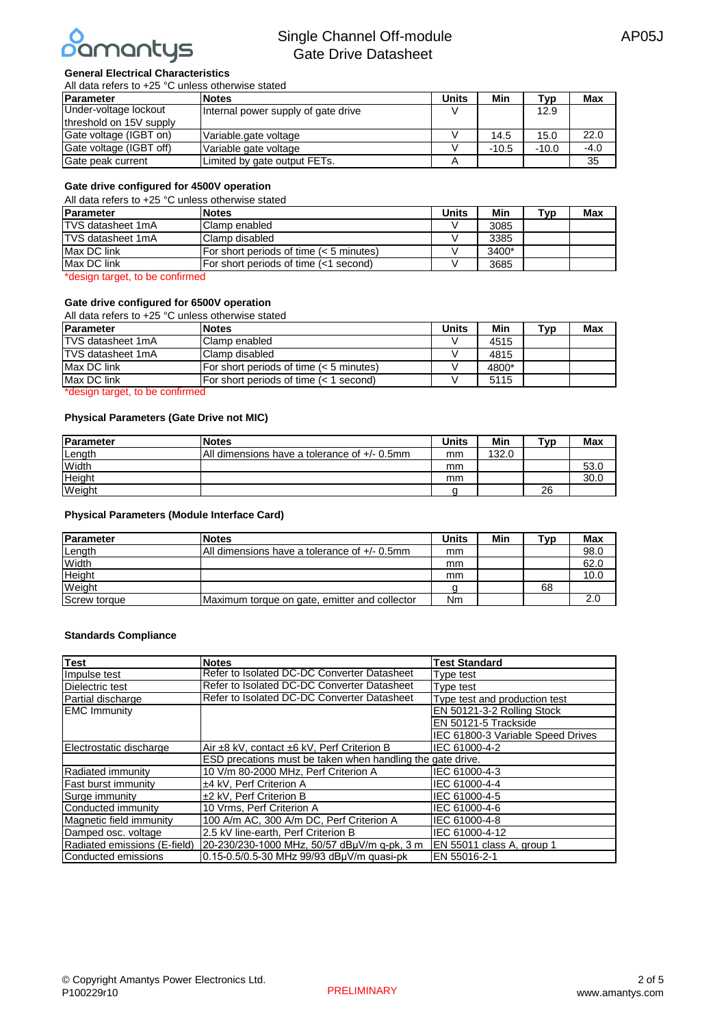

# **General Electrical Characteristics**

| All data refers to +25 °C unless otherwise stated |                                     |              |         |         |            |
|---------------------------------------------------|-------------------------------------|--------------|---------|---------|------------|
| <b>Parameter</b>                                  | <b>Notes</b>                        | <b>Units</b> | Min     | Tvɒ     | <b>Max</b> |
| Under-voltage lockout                             | Internal power supply of gate drive |              |         | 12.9    |            |
| threshold on 15V supply                           |                                     |              |         |         |            |
| Gate voltage (IGBT on)                            | Variable.gate voltage               |              | 14.5    | 15.0    | 22.0       |
| Gate voltage (IGBT off)                           | Variable gate voltage               |              | $-10.5$ | $-10.0$ | $-4.0$     |
| Gate peak current                                 | Limited by gate output FETs.        |              |         |         | 35         |

## **Gate drive configured for 4500V operation**

All data refers to +25 °C unless otherwise stated

| Parameter                | <b>Notes</b>                            | Units | Min   | TVD | <b>Max</b> |
|--------------------------|-----------------------------------------|-------|-------|-----|------------|
| <b>TVS</b> datasheet 1mA | Clamp enabled                           |       | 3085  |     |            |
| TVS datasheet 1mA        | Clamp disabled                          |       | 3385  |     |            |
| Max DC link              | For short periods of time (< 5 minutes) |       | 3400* |     |            |
| Max DC link              | For short periods of time (<1 second)   |       | 3685  |     |            |

\*design target, to be confirmed

## **Gate drive configured for 6500V operation**

| All data refers to $+25$ °C unless otherwise stated |                                           |              |       |     |            |
|-----------------------------------------------------|-------------------------------------------|--------------|-------|-----|------------|
| Parameter                                           | <b>Notes</b>                              | <b>Units</b> | Min   | Tvp | <b>Max</b> |
| TVS datasheet 1mA                                   | Clamp enabled                             |              | 4515  |     |            |
| TVS datasheet 1mA                                   | Clamp disabled                            |              | 4815  |     |            |
| Max DC link                                         | For short periods of time $(< 5$ minutes) |              | 4800* |     |            |
| Max DC link                                         | For short periods of time (< 1 second)    |              | 5115  |     |            |

\*design target, to be confirmed

#### **Physical Parameters (Gate Drive not MIC)**

| <b>IParameter</b> | <b>Notes</b>                                 | Units | Min   | "vp | Max  |
|-------------------|----------------------------------------------|-------|-------|-----|------|
| Length            | All dimensions have a tolerance of +/- 0.5mm | mm    | 132.0 |     |      |
| Width             |                                              | mm    |       |     | 53.0 |
| Height            |                                              | mm    |       |     | 30.0 |
| Weight            |                                              |       |       | 26  |      |

## **Physical Parameters (Module Interface Card)**

| <b>IParameter</b>   | <b>Notes</b>                                  | Units | Min | $\mathbf{\tau}_{\mathsf{VD}}$ | Max  |
|---------------------|-----------------------------------------------|-------|-----|-------------------------------|------|
| Length              | All dimensions have a tolerance of +/- 0.5mm  | mm    |     |                               | 98.0 |
| Width               |                                               | mm    |     |                               | 62.0 |
| Height              |                                               | mm    |     |                               | 10.0 |
| Weight              |                                               |       |     | 68                            |      |
| <b>Screw torque</b> | Maximum torque on gate, emitter and collector | Nm    |     |                               | 2.0  |

#### **Standards Compliance**

| <b>Test</b>                  | <b>Notes</b>                                               | <b>Test Standard</b>              |
|------------------------------|------------------------------------------------------------|-----------------------------------|
| Impulse test                 | Refer to Isolated DC-DC Converter Datasheet                | Tvpe test                         |
| Dielectric test              | Refer to Isolated DC-DC Converter Datasheet                | Type test                         |
| Partial discharge            | Refer to Isolated DC-DC Converter Datasheet                | Type test and production test     |
| <b>EMC Immunity</b>          |                                                            | EN 50121-3-2 Rolling Stock        |
|                              |                                                            | EN 50121-5 Trackside              |
|                              |                                                            | IEC 61800-3 Variable Speed Drives |
| Electrostatic discharge      | Air ±8 kV, contact ±6 kV, Perf Criterion B                 | IEC 61000-4-2                     |
|                              | ESD precations must be taken when handling the gate drive. |                                   |
| Radiated immunity            | 10 V/m 80-2000 MHz, Perf Criterion A                       | IEC 61000-4-3                     |
| <b>Fast burst immunity</b>   | ±4 kV. Perf Criterion A                                    | IEC 61000-4-4                     |
| Surge immunity               | ±2 kV, Perf Criterion B                                    | IEC 61000-4-5                     |
| Conducted immunity           | 10 Vrms, Perf Criterion A                                  | IEC 61000-4-6                     |
| Magnetic field immunity      | 100 A/m AC, 300 A/m DC, Perf Criterion A                   | IEC 61000-4-8                     |
| Damped osc. voltage          | 2.5 kV line-earth, Perf Criterion B                        | IEC 61000-4-12                    |
| Radiated emissions (E-field) | 20-230/230-1000 MHz, 50/57 dBuV/m g-pk, 3 m                | EN 55011 class A, group 1         |
| Conducted emissions          | 0.15-0.5/0.5-30 MHz 99/93 dBuV/m quasi-pk                  | EN 55016-2-1                      |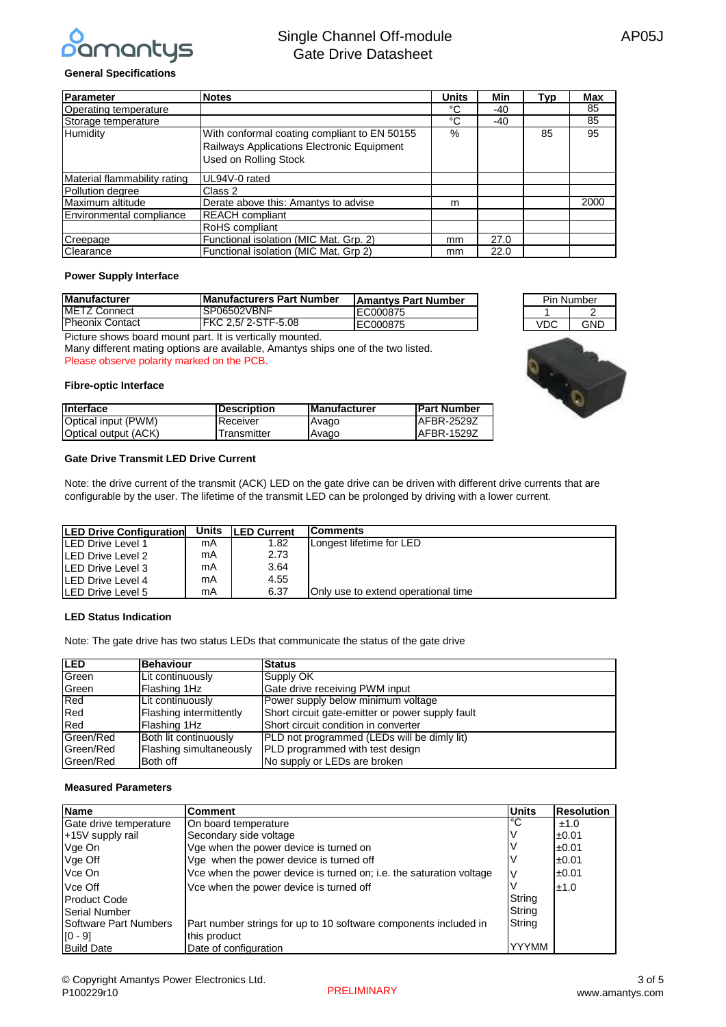

## **General Specifications**

| Parameter                    | <b>Notes</b>                                 | <b>Units</b> | Min  | Typ | <b>Max</b> |
|------------------------------|----------------------------------------------|--------------|------|-----|------------|
| Operating temperature        |                                              | °C           | -40  |     | 85         |
| Storage temperature          |                                              | °C           | -40  |     | 85         |
| Humidity                     | With conformal coating compliant to EN 50155 | %            |      | 85  | 95         |
|                              | Railways Applications Electronic Equipment   |              |      |     |            |
|                              | Used on Rolling Stock                        |              |      |     |            |
| Material flammability rating | UL94V-0 rated                                |              |      |     |            |
| Pollution degree             | Class 2                                      |              |      |     |            |
| Maximum altitude             | Derate above this: Amantys to advise         | m            |      |     | 2000       |
| Environmental compliance     | <b>REACH</b> compliant                       |              |      |     |            |
|                              | <b>RoHS</b> compliant                        |              |      |     |            |
| Creepage                     | Functional isolation (MIC Mat. Grp. 2)       | mm           | 27.0 |     |            |
| Clearance                    | Functional isolation (MIC Mat. Grp 2)        | mm           | 22.0 |     |            |

#### **Power Supply Interface**

| <b>Manufacturer</b>    | <b>IManufacturers Part Number</b> | <b>IAmantys Part Number</b> |
|------------------------|-----------------------------------|-----------------------------|
| <b>METZ Connect</b>    | ISP06502VBNF                      | EC000875                    |
| <b>Pheonix Contact</b> | <b>IFKC 2.5/2-STF-5.08</b>        | EC000875                    |

Picture shows board mount part. It is vertically mounted.

Many different mating options are available, Amantys ships one of the two listed. Please observe polarity marked on the PCB.

#### **Fibre-optic Interface**

| Interface            | <b>IDescription</b> | <b>IManufacturer</b> | <b>IPart Number</b> |
|----------------------|---------------------|----------------------|---------------------|
| Optical input (PWM)  | <b>Receiver</b>     | Avago                | <b>IAFBR-2529Z</b>  |
| Optical output (ACK) | Transmitter         | Avago                | <b>IAFBR-1529Z</b>  |

## **Gate Drive Transmit LED Drive Current**

Note: the drive current of the transmit (ACK) LED on the gate drive can be driven with different drive currents that are configurable by the user. The lifetime of the transmit LED can be prolonged by driving with a lower current.

| <b>LED Drive Configuration</b> |    | Units <b>LED Current</b> | <b>IComments</b>                    |
|--------------------------------|----|--------------------------|-------------------------------------|
|                                |    |                          |                                     |
| LED Drive Level 1              | mA | 1.82                     | Longest lifetime for LED            |
| LED Drive Level 2              | mA | 2.73                     |                                     |
| LED Drive Level 3              | mA | 3.64                     |                                     |
| LED Drive Level 4              | mA | 4.55                     |                                     |
| LED Drive Level 5              | mA | 6.37                     | Only use to extend operational time |

## **LED Status Indication**

Note: The gate drive has two status LEDs that communicate the status of the gate drive

| <b>LED</b> | Behaviour               | <b>Status</b>                                    |
|------------|-------------------------|--------------------------------------------------|
| Green      | Lit continuously        | Supply OK                                        |
| Green      | Flashing 1Hz            | Gate drive receiving PWM input                   |
| Red        | Lit continuously        | Power supply below minimum voltage               |
| Red        | Flashing intermittently | Short circuit gate-emitter or power supply fault |
| Red        | Flashing 1Hz            | Short circuit condition in converter             |
| Green/Red  | Both lit continuously   | PLD not programmed (LEDs will be dimly lit)      |
| Green/Red  | Flashing simultaneously | PLD programmed with test design                  |
| Green/Red  | Both off                | No supply or LEDs are broken                     |

## **Measured Parameters**

| <b>Name</b>            | Comment                                                             | <b>Units</b> | <b>Resolution</b> |
|------------------------|---------------------------------------------------------------------|--------------|-------------------|
| Gate drive temperature | On board temperature                                                | l°С          | ±1.0              |
| +15V supply rail       | Secondary side voltage                                              |              | ±0.01             |
| Vge On                 | Vge when the power device is turned on                              |              | ±0.01             |
| Vge Off                | Vge when the power device is turned off                             |              | ±0.01             |
| Vce On                 | Vce when the power device is turned on; i.e. the saturation voltage |              | ±0.01             |
| Vce Off                | Vce when the power device is turned off                             |              | ±1.0              |
| <b>Product Code</b>    |                                                                     | String       |                   |
| Serial Number          |                                                                     | String       |                   |
| Software Part Numbers  | Part number strings for up to 10 software components included in    | String       |                   |
| $[0 - 9]$              | this product                                                        |              |                   |
| <b>Build Date</b>      | Date of configuration                                               | <b>YYYMM</b> |                   |



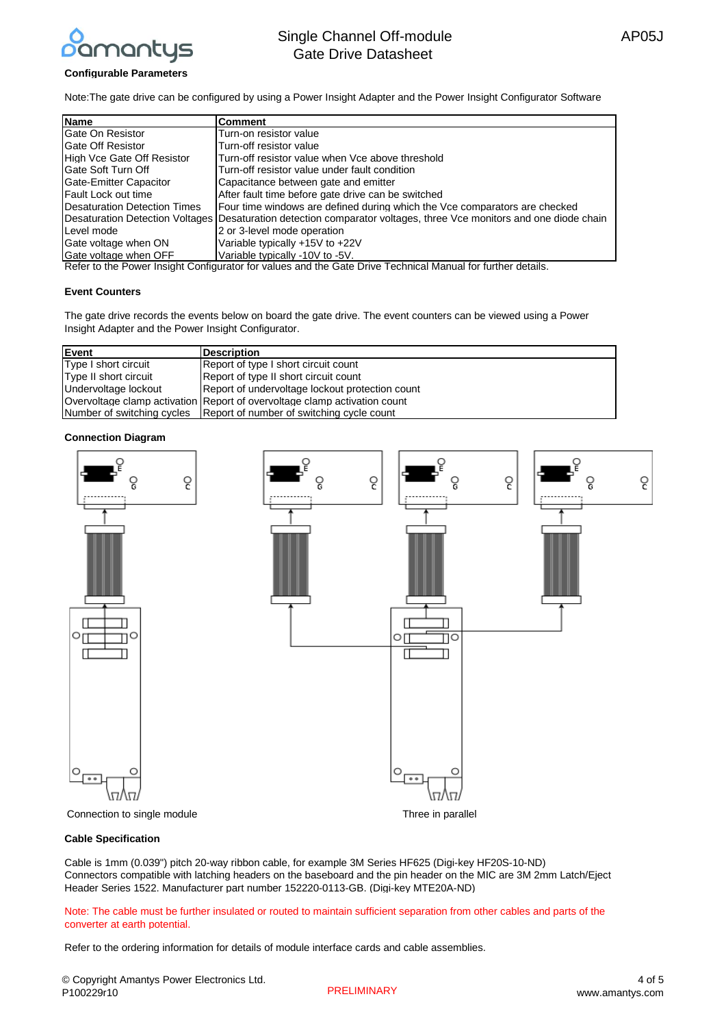

### **Configurable Parameters**

Note:The gate drive can be configured by using a Power Insight Adapter and the Power Insight Configurator Software

| <b>Name</b>                  | <b>Comment</b>                                                                                                     |
|------------------------------|--------------------------------------------------------------------------------------------------------------------|
| Gate On Resistor             | Turn-on resistor value                                                                                             |
| <b>Gate Off Resistor</b>     | Turn-off resistor value                                                                                            |
| High Vce Gate Off Resistor   | Turn-off resistor value when Vce above threshold                                                                   |
| <b>IGate Soft Turn Off</b>   | Turn-off resistor value under fault condition                                                                      |
| Gate-Emitter Capacitor       | Capacitance between gate and emitter                                                                               |
| Fault Lock out time          | After fault time before gate drive can be switched                                                                 |
| Desaturation Detection Times | Four time windows are defined during which the Vce comparators are checked                                         |
|                              | Desaturation Detection Voltages Desaturation detection comparator voltages, three Vce monitors and one diode chain |
| Level mode                   | 2 or 3-level mode operation                                                                                        |
| Gate voltage when ON         | Variable typically +15V to +22V                                                                                    |
| Gate voltage when OFF        | Variable typically -10V to -5V.                                                                                    |

Refer to the Power Insight Configurator for values and the Gate Drive Technical Manual for further details.

## **Event Counters**

The gate drive records the events below on board the gate drive. The event counters can be viewed using a Power Insight Adapter and the Power Insight Configurator.

| Event                 | <b>Description</b>                                                        |
|-----------------------|---------------------------------------------------------------------------|
| Type I short circuit  | Report of type I short circuit count                                      |
| Type II short circuit | Report of type II short circuit count                                     |
| Undervoltage lockout  | Report of undervoltage lockout protection count                           |
|                       | Overvoltage clamp activation Report of overvoltage clamp activation count |
|                       | Number of switching cycles   Report of number of switching cycle count    |

#### **Connection Diagram**



#### **Cable Specification**

Cable is 1mm (0.039") pitch 20-way ribbon cable, for example 3M Series HF625 (Digi-key HF20S-10-ND) Connectors compatible with latching headers on the baseboard and the pin header on the MIC are 3M 2mm Latch/Eject Header Series 1522. Manufacturer part number 152220-0113-GB. (Digi-key MTE20A-ND)

Note: The cable must be further insulated or routed to maintain sufficient separation from other cables and parts of the converter at earth potential.

Refer to the ordering information for details of module interface cards and cable assemblies.